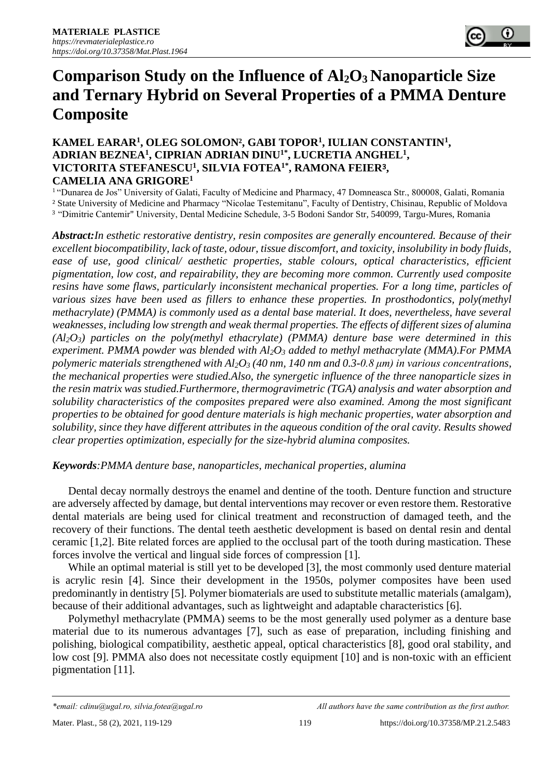# **Comparison Study on the Influence of Al2O3 Nanoparticle Size and Ternary Hybrid on Several Properties of a PMMA Denture Composite**

## **KAMEL EARAR<sup>1</sup> , OLEG SOLOMON², GABI TOPOR<sup>1</sup> , IULIAN CONSTANTIN<sup>1</sup> , ADRIAN BEZNEA<sup>1</sup> , CIPRIAN ADRIAN DINU1\* , LUCRETIA ANGHEL<sup>1</sup> , VICTORITA STEFANESCU<sup>1</sup> , SILVIA FOTEA1\* , RAMONA FEIER**3**, CAMELIA ANA GRIGORE<sup>1</sup>**

<sup>1</sup> "Dunarea de Jos" University of Galati, Faculty of Medicine and Pharmacy, 47 Domneasca Str., 800008, Galati, Romania ² State University of Medicine and Pharmacy "Nicolae Testemitanu", Faculty of Dentistry, Chisinau, Republic of Moldova <sup>3</sup> "Dimitrie Cantemir" University, Dental Medicine Schedule, 3-5 Bodoni Sandor Str, 540099, Targu-Mures, Romania

*Abstract:In esthetic restorative dentistry, resin composites are generally encountered. Because of their excellent biocompatibility, lack of taste, odour, tissue discomfort, and toxicity, insolubility in body fluids, ease of use, good clinical/ aesthetic properties, stable colours, optical characteristics, efficient pigmentation, low cost, and repairability, they are becoming more common. Currently used composite resins have some flaws, particularly inconsistent mechanical properties. For a long time, particles of various sizes have been used as fillers to enhance these properties. In prosthodontics, poly(methyl methacrylate) (PMMA) is commonly used as a dental base material. It does, nevertheless, have several weaknesses, including low strength and weak thermal properties. The effects of different sizes of alumina (Al2O3) particles on the poly(methyl ethacrylate) (PMMA) denture base were determined in this experiment. PMMA powder was blended with Al2O<sup>3</sup> added to methyl methacrylate (MMA).For PMMA polymeric materials strengthened with Al2O<sup>3</sup> (40 nm, 140 nm and 0.3-0.8 μm) in various concentrations, the mechanical properties were studied.Also, the synergetic influence of the three nanoparticle sizes in the resin matrix was studied.Furthermore, thermogravimetric (TGA) analysis and water absorption and solubility characteristics of the composites prepared were also examined. Among the most significant properties to be obtained for good denture materials is high mechanic properties, water absorption and solubility, since they have different attributes in the aqueous condition of the oral cavity. Results showed clear properties optimization, especially for the size-hybrid alumina composites.*

#### *Keywords:PMMA denture base, nanoparticles, mechanical properties, alumina*

Dental decay normally destroys the enamel and dentine of the tooth. Denture function and structure are adversely affected by damage, but dental interventions may recover or even restore them. Restorative dental materials are being used for clinical treatment and reconstruction of damaged teeth, and the recovery of their functions. The dental teeth aesthetic development is based on dental resin and dental ceramic [1,2]. Bite related forces are applied to the occlusal part of the tooth during mastication. These forces involve the vertical and lingual side forces of compression [1].

While an optimal material is still yet to be developed [3], the most commonly used denture material is acrylic resin [4]. Since their development in the 1950s, polymer composites have been used predominantly in dentistry [5]. Polymer biomaterials are used to substitute metallic materials (amalgam), because of their additional advantages, such as lightweight and adaptable characteristics [6].

Polymethyl methacrylate (PMMA) seems to be the most generally used polymer as a denture base material due to its numerous advantages [7], such as ease of preparation, including finishing and polishing, biological compatibility, aesthetic appeal, optical characteristics [8], good oral stability, and low cost [9]. PMMA also does not necessitate costly equipment [10] and is non-toxic with an efficient pigmentation [11].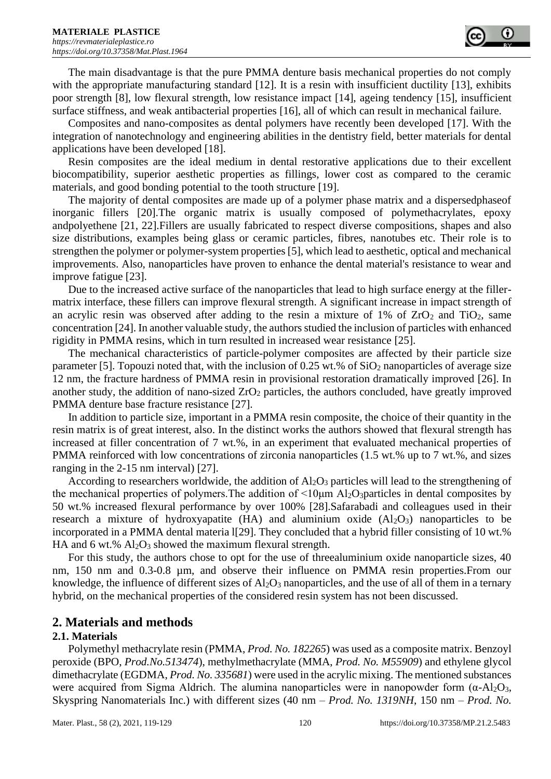The main disadvantage is that the pure PMMA denture basis mechanical properties do not comply with the appropriate manufacturing standard [12]. It is a resin with insufficient ductility [13], exhibits poor strength [8], low flexural strength, low resistance impact [14], ageing tendency [15], insufficient surface stiffness, and weak antibacterial properties [16], all of which can result in mechanical failure.

Composites and nano-composites as dental polymers have recently been developed [17]. With the integration of nanotechnology and engineering abilities in the dentistry field, better materials for dental applications have been developed [18].

Resin composites are the ideal medium in dental restorative applications due to their excellent biocompatibility, superior aesthetic properties as fillings, lower cost as compared to the ceramic materials, and good bonding potential to the tooth structure [19].

The majority of dental composites are made up of a polymer phase matrix and a dispersedphaseof inorganic fillers [20].The organic matrix is usually composed of polymethacrylates, epoxy andpolyethene [21, 22].Fillers are usually fabricated to respect diverse compositions, shapes and also size distributions, examples being glass or ceramic particles, fibres, nanotubes etc. Their role is to strengthen the polymer or polymer-system properties [5], which lead to aesthetic, optical and mechanical improvements. Also, nanoparticles have proven to enhance the dental material's resistance to wear and improve fatigue [23].

Due to the increased active surface of the nanoparticles that lead to high surface energy at the fillermatrix interface, these fillers can improve flexural strength. A significant increase in impact strength of an acrylic resin was observed after adding to the resin a mixture of  $1\%$  of  $ZrO<sub>2</sub>$  and TiO<sub>2</sub>, same concentration [24]. In another valuable study, the authors studied the inclusion of particles with enhanced rigidity in PMMA resins, which in turn resulted in increased wear resistance [25].

The mechanical characteristics of particle-polymer composites are affected by their particle size parameter [5]. Topouzi noted that, with the inclusion of  $0.25$  wt.% of  $SiO<sub>2</sub>$  nanoparticles of average size 12 nm, the fracture hardness of PMMA resin in provisional restoration dramatically improved [26]. In another study, the addition of nano-sized  $ZrO<sub>2</sub>$  particles, the authors concluded, have greatly improved PMMA denture base fracture resistance [27].

In addition to particle size, important in a PMMA resin composite, the choice of their quantity in the resin matrix is of great interest, also. In the distinct works the authors showed that flexural strength has increased at filler concentration of 7 wt.%, in an experiment that evaluated mechanical properties of PMMA reinforced with low concentrations of zirconia nanoparticles (1.5 wt.% up to 7 wt.%, and sizes ranging in the 2-15 nm interval) [27].

According to researchers worldwide, the addition of  $A_2O_3$  particles will lead to the strengthening of the mechanical properties of polymers. The addition of  $\leq 10 \mu m$  Al<sub>2</sub>O<sub>3</sub>particles in dental composites by 50 wt.% increased flexural performance by over 100% [28].Safarabadi and colleagues used in their research a mixture of hydroxyapatite  $(HA)$  and aluminium oxide  $(A_2O_3)$  nanoparticles to be incorporated in a PMMA dental materia I[29]. They concluded that a hybrid filler consisting of 10 wt.% HA and 6 wt.%  $Al_2O_3$  showed the maximum flexural strength.

For this study, the authors chose to opt for the use of threealuminium oxide nanoparticle sizes, 40 nm, 150 nm and 0.3-0.8 µm, and observe their influence on PMMA resin properties. From our knowledge, the influence of different sizes of  $Al_2O_3$  nanoparticles, and the use of all of them in a ternary hybrid, on the mechanical properties of the considered resin system has not been discussed.

## **2. Materials and methods**

#### **2.1. Materials**

Polymethyl methacrylate resin (PMMA, *Prod. No. 182265*) was used as a composite matrix. Benzoyl peroxide (BPO, *Prod.No.513474*), methylmethacrylate (MMA, *Prod. No. M55909*) and ethylene glycol dimethacrylate (EGDMA, *Prod. No. 335681*) were used in the acrylic mixing. The mentioned substances were acquired from Sigma Aldrich. The alumina nanoparticles were in nanopowder form  $(\alpha$ -Al<sub>2</sub>O<sub>3</sub>, Skyspring Nanomaterials Inc.) with different sizes (40 nm – *Prod. No. 1319NH*, 150 nm – *Prod. No.*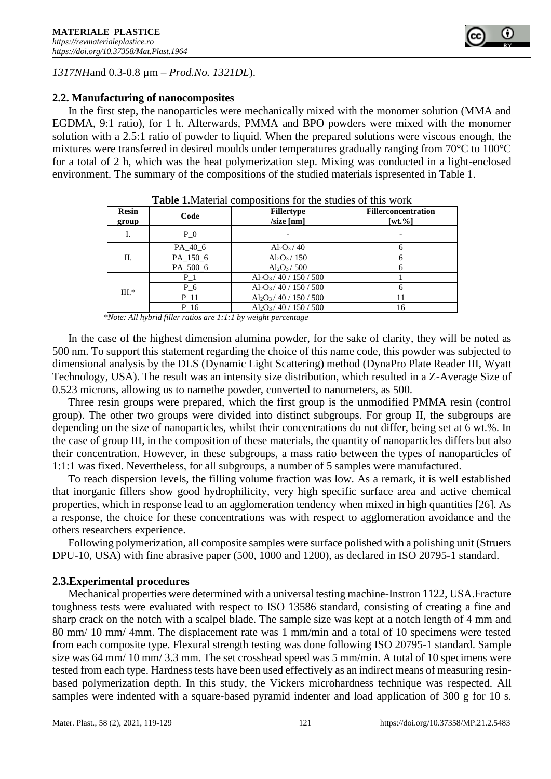

#### **2.2. Manufacturing of nanocomposites**

In the first step, the nanoparticles were mechanically mixed with the monomer solution (MMA and EGDMA, 9:1 ratio), for 1 h. Afterwards, PMMA and BPO powders were mixed with the monomer solution with a 2.5:1 ratio of powder to liquid. When the prepared solutions were viscous enough, the mixtures were transferred in desired moulds under temperatures gradually ranging from 70°C to 100°C for a total of 2 h, which was the heat polymerization step. Mixing was conducted in a light-enclosed environment. The summary of the compositions of the studied materials ispresented in Table 1.

| <b>Resin</b><br>group | Code     | <b>Fillertype</b><br>$\left  \right $ /size [nm] | <b>Fillerconcentration</b><br>$[wt. \%]$ |
|-----------------------|----------|--------------------------------------------------|------------------------------------------|
| I.                    | $P_0$    |                                                  |                                          |
| Π.                    | PA 40 6  | $Al_2O_3/40$                                     |                                          |
|                       | PA_150_6 | $Al_2O_3/150$                                    |                                          |
|                       | PA 500 6 | $Al_2O_3 / 500$                                  |                                          |
| $III.*$               | $P_1$    | $Al_2O_3/40/150/500$                             |                                          |
|                       | $P_6$    | $Al_2O_3/40/150/500$                             |                                          |
|                       | P 11     | $Al_2O_3/40/150/500$                             |                                          |
|                       | P 16     | $Al_2O_3/40/150/500$                             | 16                                       |

**Table 1.**Material compositions for the studies of this work

 *\*Note: All hybrid filler ratios are 1:1:1 by weight percentage*

In the case of the highest dimension alumina powder, for the sake of clarity, they will be noted as 500 nm. To support this statement regarding the choice of this name code, this powder was subjected to dimensional analysis by the DLS (Dynamic Light Scattering) method (DynaPro Plate Reader III, Wyatt Technology, USA). The result was an intensity size distribution, which resulted in a Z-Average Size of 0.523 microns, allowing us to namethe powder, converted to nanometers, as 500.

Three resin groups were prepared, which the first group is the unmodified PMMA resin (control group). The other two groups were divided into distinct subgroups. For group II, the subgroups are depending on the size of nanoparticles, whilst their concentrations do not differ, being set at 6 wt.%. In the case of group III, in the composition of these materials, the quantity of nanoparticles differs but also their concentration. However, in these subgroups, a mass ratio between the types of nanoparticles of 1:1:1 was fixed. Nevertheless, for all subgroups, a number of 5 samples were manufactured.

To reach dispersion levels, the filling volume fraction was low. As a remark, it is well established that inorganic fillers show good hydrophilicity, very high specific surface area and active chemical properties, which in response lead to an agglomeration tendency when mixed in high quantities [26]. As a response, the choice for these concentrations was with respect to agglomeration avoidance and the others researchers experience.

Following polymerization, all composite samples were surface polished with a polishing unit (Struers DPU-10, USA) with fine abrasive paper (500, 1000 and 1200), as declared in ISO 20795-1 standard.

#### **2.3.Experimental procedures**

Mechanical properties were determined with a universal testing machine-Instron 1122, USA.Fracture toughness tests were evaluated with respect to ISO 13586 standard, consisting of creating a fine and sharp crack on the notch with a scalpel blade. The sample size was kept at a notch length of 4 mm and 80 mm/ 10 mm/ 4mm. The displacement rate was 1 mm/min and a total of 10 specimens were tested from each composite type. Flexural strength testing was done following ISO 20795-1 standard. Sample size was 64 mm/ 10 mm/ 3.3 mm. The set crosshead speed was 5 mm/min. A total of 10 specimens were tested from each type. Hardness tests have been used effectively as an indirect means of measuring resinbased polymerization depth. In this study, the Vickers microhardness technique was respected. All samples were indented with a square-based pyramid indenter and load application of 300 g for 10 s.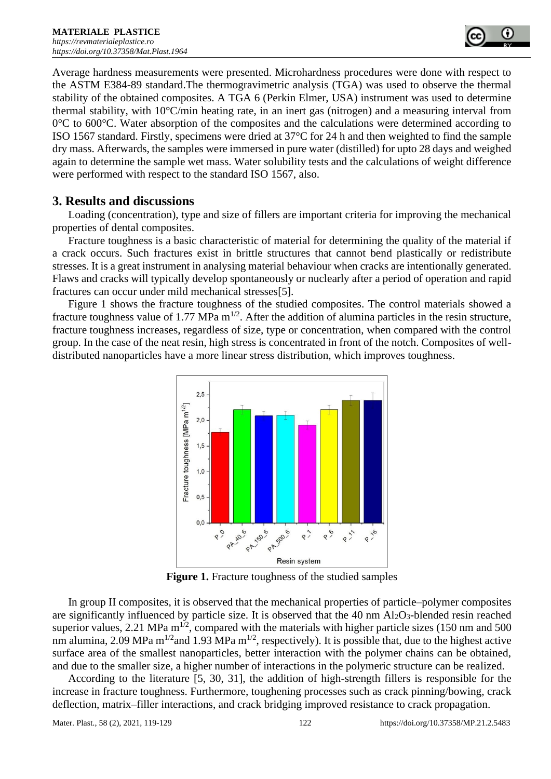Average hardness measurements were presented. Microhardness procedures were done with respect to the ASTM E384-89 standard.The thermogravimetric analysis (TGA) was used to observe the thermal stability of the obtained composites. A TGA 6 (Perkin Elmer, USA) instrument was used to determine thermal stability, with 10°C/min heating rate, in an inert gas (nitrogen) and a measuring interval from  $0^{\circ}$ C to 600 $^{\circ}$ C. Water absorption of the composites and the calculations were determined according to ISO 1567 standard. Firstly, specimens were dried at 37°C for 24 h and then weighted to find the sample dry mass. Afterwards, the samples were immersed in pure water (distilled) for upto 28 days and weighed again to determine the sample wet mass. Water solubility tests and the calculations of weight difference were performed with respect to the standard ISO 1567, also.

# **3. Results and discussions**

Loading (concentration), type and size of fillers are important criteria for improving the mechanical properties of dental composites.

Fracture toughness is a basic characteristic of material for determining the quality of the material if a crack occurs. Such fractures exist in brittle structures that cannot bend plastically or redistribute stresses. It is a great instrument in analysing material behaviour when cracks are intentionally generated. Flaws and cracks will typically develop spontaneously or nuclearly after a period of operation and rapid fractures can occur under mild mechanical stresses[5].

Figure 1 shows the fracture toughness of the studied composites. The control materials showed a fracture toughness value of 1.77 MPa  $m^{1/2}$ . After the addition of alumina particles in the resin structure, fracture toughness increases, regardless of size, type or concentration, when compared with the control group. In the case of the neat resin, high stress is concentrated in front of the notch. Composites of welldistributed nanoparticles have a more linear stress distribution, which improves toughness.



**Figure 1.** Fracture toughness of the studied samples

In group II composites, it is observed that the mechanical properties of particle–polymer composites are significantly influenced by particle size. It is observed that the 40 nm  $Al_2O_3$ -blended resin reached superior values, 2.21 MPa  $m^{1/2}$ , compared with the materials with higher particle sizes (150 nm and 500 nm alumina, 2.09 MPa m<sup>1/2</sup> and 1.93 MPa m<sup>1/2</sup>, respectively). It is possible that, due to the highest active surface area of the smallest nanoparticles, better interaction with the polymer chains can be obtained, and due to the smaller size, a higher number of interactions in the polymeric structure can be realized.

According to the literature [5, 30, 31], the addition of high-strength fillers is responsible for the increase in fracture toughness. Furthermore, toughening processes such as crack pinning/bowing, crack deflection, matrix–filler interactions, and crack bridging improved resistance to crack propagation.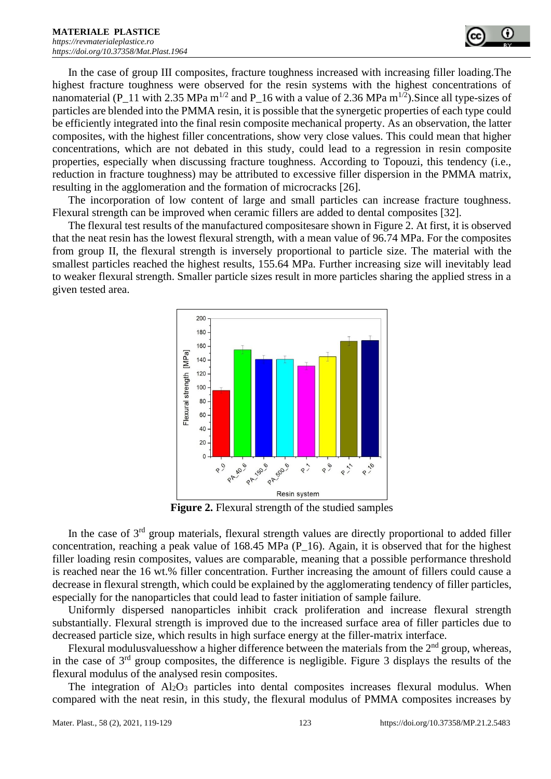

In the case of group III composites, fracture toughness increased with increasing filler loading.The highest fracture toughness were observed for the resin systems with the highest concentrations of nanomaterial (P\_11 with 2.35 MPa m<sup>1/2</sup> and P\_16 with a value of 2.36 MPa m<sup>1/2</sup>). Since all type-sizes of particles are blended into the PMMA resin, it is possible that the synergetic properties of each type could be efficiently integrated into the final resin composite mechanical property. As an observation, the latter composites, with the highest filler concentrations, show very close values. This could mean that higher concentrations, which are not debated in this study, could lead to a regression in resin composite properties, especially when discussing fracture toughness. According to Topouzi, this tendency (i.e., reduction in fracture toughness) may be attributed to excessive filler dispersion in the PMMA matrix, resulting in the agglomeration and the formation of microcracks [26].

The incorporation of low content of large and small particles can increase fracture toughness. Flexural strength can be improved when ceramic fillers are added to dental composites [32].

The flexural test results of the manufactured compositesare shown in Figure 2. At first, it is observed that the neat resin has the lowest flexural strength, with a mean value of 96.74 MPa. For the composites from group II, the flexural strength is inversely proportional to particle size. The material with the smallest particles reached the highest results, 155.64 MPa. Further increasing size will inevitably lead to weaker flexural strength. Smaller particle sizes result in more particles sharing the applied stress in a given tested area.



**Figure 2.** Flexural strength of the studied samples

In the case of 3<sup>rd</sup> group materials, flexural strength values are directly proportional to added filler concentration, reaching a peak value of 168.45 MPa (P\_16). Again, it is observed that for the highest filler loading resin composites, values are comparable, meaning that a possible performance threshold is reached near the 16 wt.% filler concentration. Further increasing the amount of fillers could cause a decrease in flexural strength, which could be explained by the agglomerating tendency of filler particles, especially for the nanoparticles that could lead to faster initiation of sample failure.

Uniformly dispersed nanoparticles inhibit crack proliferation and increase flexural strength substantially. Flexural strength is improved due to the increased surface area of filler particles due to decreased particle size, which results in high surface energy at the filler-matrix interface.

Flexural modulusvaluesshow a higher difference between the materials from the  $2<sup>nd</sup>$  group, whereas, in the case of  $3<sup>rd</sup>$  group composites, the difference is negligible. Figure 3 displays the results of the flexural modulus of the analysed resin composites.

The integration of  $Al_2O_3$  particles into dental composites increases flexural modulus. When compared with the neat resin, in this study, the flexural modulus of PMMA composites increases by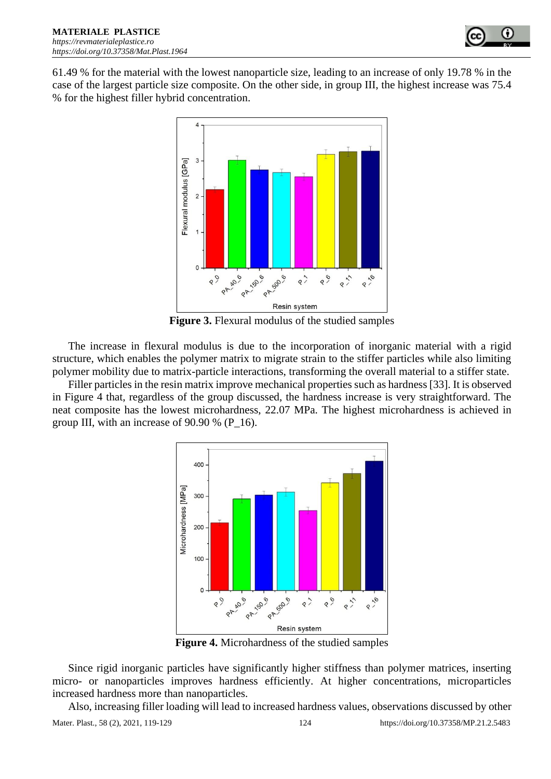

61.49 % for the material with the lowest nanoparticle size, leading to an increase of only 19.78 % in the case of the largest particle size composite. On the other side, in group III, the highest increase was 75.4 % for the highest filler hybrid concentration.



**Figure 3.** Flexural modulus of the studied samples

The increase in flexural modulus is due to the incorporation of inorganic material with a rigid structure, which enables the polymer matrix to migrate strain to the stiffer particles while also limiting polymer mobility due to matrix-particle interactions, transforming the overall material to a stiffer state.

Filler particles in the resin matrix improve mechanical properties such as hardness [33]. It is observed in Figure 4 that, regardless of the group discussed, the hardness increase is very straightforward. The neat composite has the lowest microhardness, 22.07 MPa. The highest microhardness is achieved in group III, with an increase of 90.90 % (P\_16).



**Figure 4.** Microhardness of the studied samples

Since rigid inorganic particles have significantly higher stiffness than polymer matrices, inserting micro- or nanoparticles improves hardness efficiently. At higher concentrations, microparticles increased hardness more than nanoparticles.

Also, increasing filler loading will lead to increased hardness values, observations discussed by other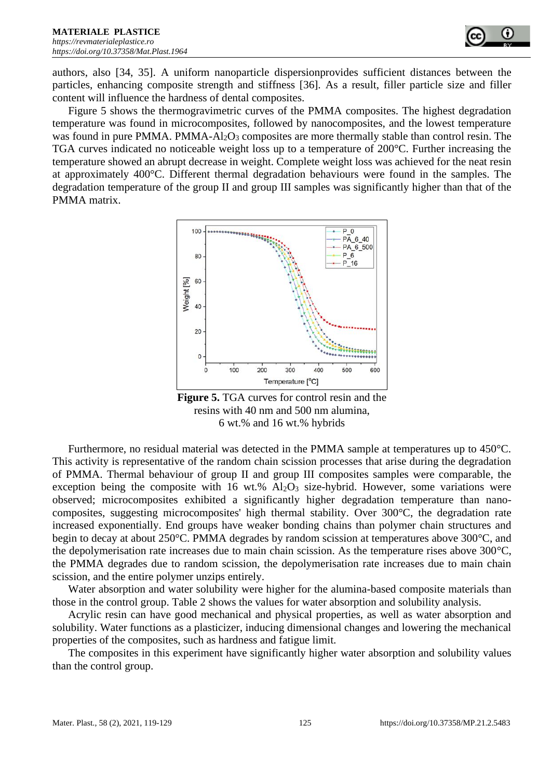authors, also [34, 35]. A uniform nanoparticle dispersionprovides sufficient distances between the particles, enhancing composite strength and stiffness [36]. As a result, filler particle size and filler content will influence the hardness of dental composites.

Figure 5 shows the thermogravimetric curves of the PMMA composites. The highest degradation temperature was found in microcomposites, followed by nanocomposites, and the lowest temperature was found in pure PMMA. PMMA-Al<sub>2</sub>O<sub>3</sub> composites are more thermally stable than control resin. The TGA curves indicated no noticeable weight loss up to a temperature of 200°C. Further increasing the temperature showed an abrupt decrease in weight. Complete weight loss was achieved for the neat resin at approximately 400°C. Different thermal degradation behaviours were found in the samples. The degradation temperature of the group II and group III samples was significantly higher than that of the PMMA matrix.



**Figure 5.** TGA curves for control resin and the resins with 40 nm and 500 nm alumina, 6 wt.% and 16 wt.% hybrids

Furthermore, no residual material was detected in the PMMA sample at temperatures up to 450°C. This activity is representative of the random chain scission processes that arise during the degradation of PMMA. Thermal behaviour of group II and group III composites samples were comparable, the exception being the composite with 16 wt.%  $Al_2O_3$  size-hybrid. However, some variations were observed; microcomposites exhibited a significantly higher degradation temperature than nanocomposites, suggesting microcomposites' high thermal stability. Over 300°C, the degradation rate increased exponentially. End groups have weaker bonding chains than polymer chain structures and begin to decay at about 250°C. PMMA degrades by random scission at temperatures above 300°C, and the depolymerisation rate increases due to main chain scission. As the temperature rises above 300°C, the PMMA degrades due to random scission, the depolymerisation rate increases due to main chain scission, and the entire polymer unzips entirely.

Water absorption and water solubility were higher for the alumina-based composite materials than those in the control group. Table 2 shows the values for water absorption and solubility analysis.

Acrylic resin can have good mechanical and physical properties, as well as water absorption and solubility. Water functions as a plasticizer, inducing dimensional changes and lowering the mechanical properties of the composites, such as hardness and fatigue limit.

The composites in this experiment have significantly higher water absorption and solubility values than the control group.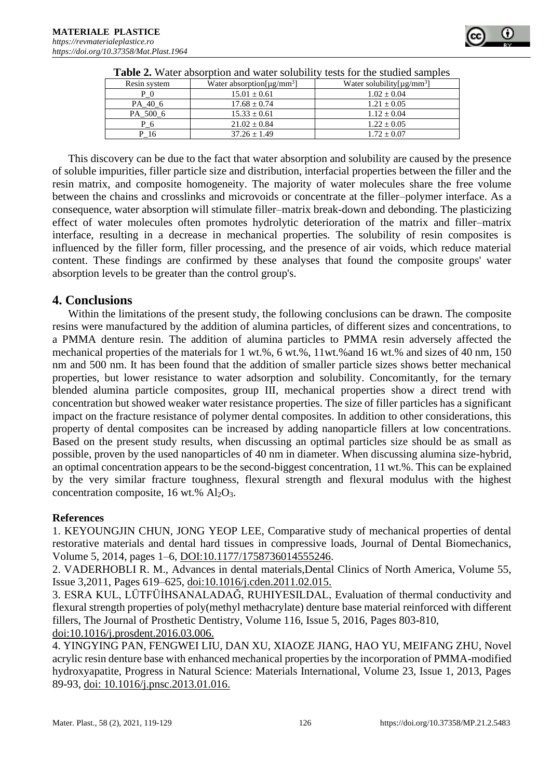

| Resin system | Water absorption $[\mu g/mm^3]$ | Water solubility [ $\mu$ g/mm <sup>3</sup> ] |
|--------------|---------------------------------|----------------------------------------------|
| P            | $15.01 \pm 0.61$                | $1.02 + 0.04$                                |
| PA 40 6      | $17.68 \pm 0.74$                | $1.21 \pm 0.05$                              |
| PA 500 6     | $15.33 \pm 0.61$                | $1.12 + 0.04$                                |
| P 6          | $21.02 \pm 0.84$                | $1.22 + 0.05$                                |
| P 16         | $37.26 \pm 1.49$                | $1.72 \pm 0.07$                              |

|  | Table 2. Water absorption and water solubility tests for the studied samples |  |  |
|--|------------------------------------------------------------------------------|--|--|
|  |                                                                              |  |  |

This discovery can be due to the fact that water absorption and solubility are caused by the presence of soluble impurities, filler particle size and distribution, interfacial properties between the filler and the resin matrix, and composite homogeneity. The majority of water molecules share the free volume between the chains and crosslinks and microvoids or concentrate at the filler–polymer interface. As a consequence, water absorption will stimulate filler–matrix break-down and debonding. The plasticizing effect of water molecules often promotes hydrolytic deterioration of the matrix and filler–matrix interface, resulting in a decrease in mechanical properties. The solubility of resin composites is influenced by the filler form, filler processing, and the presence of air voids, which reduce material content. These findings are confirmed by these analyses that found the composite groups' water absorption levels to be greater than the control group's.

# **4. Conclusions**

Within the limitations of the present study, the following conclusions can be drawn. The composite resins were manufactured by the addition of alumina particles, of different sizes and concentrations, to a PMMA denture resin. The addition of alumina particles to PMMA resin adversely affected the mechanical properties of the materials for 1 wt.%, 6 wt.%, 11wt.%and 16 wt.% and sizes of 40 nm, 150 nm and 500 nm. It has been found that the addition of smaller particle sizes shows better mechanical properties, but lower resistance to water adsorption and solubility. Concomitantly, for the ternary blended alumina particle composites, group III, mechanical properties show a direct trend with concentration but showed weaker water resistance properties. The size of filler particles has a significant impact on the fracture resistance of polymer dental composites. In addition to other considerations, this property of dental composites can be increased by adding nanoparticle fillers at low concentrations. Based on the present study results, when discussing an optimal particles size should be as small as possible, proven by the used nanoparticles of 40 nm in diameter. When discussing alumina size-hybrid, an optimal concentration appears to be the second-biggest concentration, 11 wt.%. This can be explained by the very similar fracture toughness, flexural strength and flexural modulus with the highest concentration composite, 16 wt.%  $Al_2O_3$ .

## **References**

1. KEYOUNGJIN CHUN, JONG YEOP LEE, Comparative study of mechanical properties of dental restorative materials and dental hard tissues in compressive loads, Journal of Dental Biomechanics, Volume 5, 2014, pages 1–6, DOI:10.1177/1758736014555246.

2. VADERHOBLI R. M., Advances in dental materials,Dental Clinics of North America, Volume 55, Issue 3,2011, Pages 619–625, doi:10.1016/j.cden.2011.02.015.

3. ESRA KUL, LÜTFÜİHSANALADAĞ, RUHIYESILDAL, Evaluation of thermal conductivity and flexural strength properties of poly(methyl methacrylate) denture base material reinforced with different fillers, The Journal of Prosthetic Dentistry, Volume 116, Issue 5, 2016, Pages 803-810, doi:10.1016/j.prosdent.2016.03.006.

4. YINGYING PAN, FENGWEI LIU, DAN XU, XIAOZE JIANG, HAO YU, MEIFANG ZHU, Novel acrylic resin denture base with enhanced mechanical properties by the incorporation of PMMA-modified hydroxyapatite, Progress in Natural Science: Materials International, Volume 23, Issue 1, 2013, Pages 89-93, doi: 10.1016/j.pnsc.2013.01.016.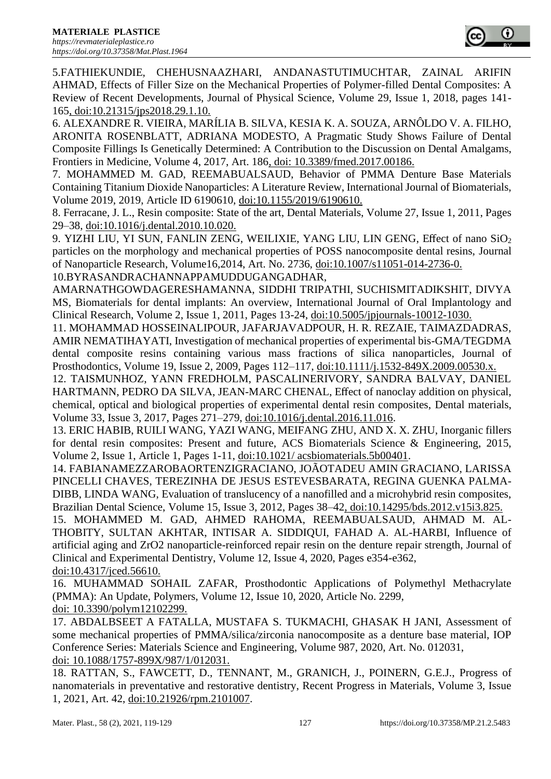

5.FATHIEKUNDIE, CHEHUSNAAZHARI, ANDANASTUTIMUCHTAR, ZAINAL ARIFIN AHMAD, Effects of Filler Size on the Mechanical Properties of Polymer-filled Dental Composites: A Review of Recent Developments, Journal of Physical Science, Volume 29, Issue 1, 2018, pages 141- 165, doi:10.21315/jps2018.29.1.10.

6. ALEXANDRE R. VIEIRA, MARÍLIA B. SILVA, KESIA K. A. SOUZA, ARNÔLDO V. A. FILHO, ARONITA ROSENBLATT, ADRIANA MODESTO, A Pragmatic Study Shows Failure of Dental Composite Fillings Is Genetically Determined: A Contribution to the Discussion on Dental Amalgams, Frontiers in Medicine, Volume 4, 2017, Art. 186, doi: 10.3389/fmed.2017.00186.

7. MOHAMMED M. GAD, REEMABUALSAUD, Behavior of PMMA Denture Base Materials Containing Titanium Dioxide Nanoparticles: A Literature Review, International Journal of Biomaterials, Volume 2019, 2019, Article ID 6190610, doi:10.1155/2019/6190610.

8. Ferracane, J. L., Resin composite: State of the art, Dental Materials, Volume 27, Issue 1, 2011, Pages 29–38, doi:10.1016/j.dental.2010.10.020.

9. YIZHI LIU, YI SUN, FANLIN ZENG, WEILIXIE, YANG LIU, LIN GENG, Effect of nano SiO<sub>2</sub> particles on the morphology and mechanical properties of POSS nanocomposite dental resins, Journal of Nanoparticle Research, Volume16,2014, Art. No. 2736, doi:10.1007/s11051-014-2736-0. 10.BYRASANDRACHANNAPPAMUDDUGANGADHAR,

AMARNATHGOWDAGERESHAMANNA, SIDDHI TRIPATHI, SUCHISMITADIKSHIT, DIVYA MS, Biomaterials for dental implants: An overview, International Journal of Oral Implantology and Clinical Research, Volume 2, Issue 1, 2011, Pages 13-24, doi:10.5005/jpjournals-10012-1030.

11. MOHAMMAD HOSSEINALIPOUR, JAFARJAVADPOUR, H. R. REZAIE, TAIMAZDADRAS, AMIR NEMATIHAYATI, Investigation of mechanical properties of experimental bis-GMA/TEGDMA dental composite resins containing various mass fractions of silica nanoparticles, Journal of Prosthodontics, Volume 19, Issue 2, 2009, Pages 112–117, doi:10.1111/j.1532-849X.2009.00530.x.

12. TAISMUNHOZ, YANN FREDHOLM, PASCALINERIVORY, SANDRA BALVAY, DANIEL HARTMANN, PEDRO DA SILVA, JEAN-MARC CHENAL, Effect of nanoclay addition on physical, chemical, optical and biological properties of experimental dental resin composites, Dental materials, Volume 33, Issue 3, 2017, Pages 271–279, doi:10.1016/j.dental.2016.11.016.

13. ERIC HABIB, RUILI WANG, YAZI WANG, MEIFANG ZHU, AND X. X. ZHU, Inorganic fillers for dental resin composites: Present and future, ACS Biomaterials Science & Engineering, 2015, Volume 2, Issue 1, Article 1, Pages 1-11, doi:10.1021/ acsbiomaterials.5b00401.

14. FABIANAMEZZAROBAORTENZIGRACIANO, JOÃOTADEU AMIN GRACIANO, LARISSA PINCELLI CHAVES, TEREZINHA DE JESUS ESTEVESBARATA, REGINA GUENKA PALMA-DIBB, LINDA WANG, Evaluation of translucency of a nanofilled and a microhybrid resin composites, Brazilian Dental Science, Volume 15, Issue 3, 2012, Pages 38–42, doi:10.14295/bds.2012.v15i3.825.

15. MOHAMMED M. GAD, AHMED RAHOMA, REEMABUALSAUD, AHMAD M. AL-THOBITY, SULTAN AKHTAR, INTISAR A. SIDDIQUI, FAHAD A. AL-HARBI, Influence of artificial aging and ZrO2 nanoparticle-reinforced repair resin on the denture repair strength, Journal of Clinical and Experimental Dentistry, Volume 12, Issue 4, 2020, Pages e354-e362,

doi:10.4317/jced.56610.

16. MUHAMMAD SOHAIL ZAFAR, Prosthodontic Applications of Polymethyl Methacrylate (PMMA): An Update, Polymers, Volume 12, Issue 10, 2020, Article No. 2299, doi: 10.3390/polym12102299.

17. ABDALBSEET A FATALLA, MUSTAFA S. TUKMACHI, GHASAK H JANI, Assessment of some mechanical properties of PMMA/silica/zirconia nanocomposite as a denture base material, IOP Conference Series: Materials Science and Engineering, Volume 987, 2020, Art. No. 012031, doi: 10.1088/1757-899X/987/1/012031.

18. RATTAN, S., FAWCETT, D., TENNANT, M., GRANICH, J., POINERN, G.E.J., Progress of nanomaterials in preventative and restorative dentistry, Recent Progress in Materials, Volume 3, Issue 1, 2021, Art. 42, doi:10.21926/rpm.2101007.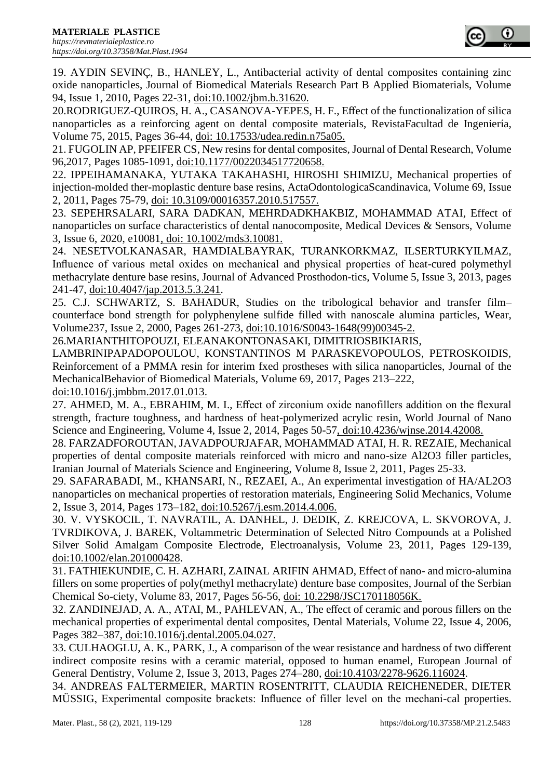

19. AYDIN SEVINÇ, B., HANLEY, L., Antibacterial activity of dental composites containing zinc oxide nanoparticles, Journal of Biomedical Materials Research Part B Applied Biomaterials, Volume 94, Issue 1, 2010, Pages 22-31, doi:10.1002/jbm.b.31620.

20.RODRIGUEZ-QUIROS, H. A., CASANOVA-YEPES, H. F., Effect of the functionalization of silica nanoparticles as a reinforcing agent on dental composite materials, RevistaFacultad de Ingeniería, Volume 75, 2015, Pages 36-44, doi: 10.17533/udea.redin.n75a05.

21. FUGOLIN AP, PFEIFER CS, New resins for dental composites, Journal of Dental Research, Volume 96,2017, Pages 1085-1091, doi:10.1177/0022034517720658.

22. IPPEIHAMANAKA, YUTAKA TAKAHASHI, HIROSHI SHIMIZU, Mechanical properties of injection-molded ther-moplastic denture base resins, ActaOdontologicaScandinavica, Volume 69, Issue 2, 2011, Pages 75-79, doi: 10.3109/00016357.2010.517557.

23. SEPEHRSALARI, SARA DADKAN, MEHRDADKHAKBIZ, MOHAMMAD ATAI, Effect of nanoparticles on surface characteristics of dental nanocomposite, Medical Devices & Sensors, Volume 3, Issue 6, 2020, e10081, doi: 10.1002/mds3.10081.

24. NESETVOLKANASAR, HAMDIALBAYRAK, TURANKORKMAZ, ILSERTURKYILMAZ, Influence of various metal oxides on mechanical and physical properties of heat-cured polymethyl methacrylate denture base resins, Journal of Advanced Prosthodon-tics, Volume 5, Issue 3, 2013, pages 241-47, doi:10.4047/jap.2013.5.3.241.

25. C.J. SCHWARTZ, S. BAHADUR, Studies on the tribological behavior and transfer film– counterface bond strength for polyphenylene sulfide filled with nanoscale alumina particles, Wear, Volume237, Issue 2, 2000, Pages 261-273, doi:10.1016/S0043-1648(99)00345-2.

26.MARIANTHITOPOUZI, ELEANAKONTONASAKI, DIMITRIOSBIKIARIS,

LAMBRINIPAPADOPOULOU, KONSTANTINOS M PARASKEVOPOULOS, PETROSKOIDIS, Reinforcement of a PMMA resin for interim fxed prostheses with silica nanoparticles, Journal of the MechanicalBehavior of Biomedical Materials, Volume 69, 2017, Pages 213–222,

doi:10.1016/j.jmbbm.2017.01.013.

27. AHMED, M. A., EBRAHIM, M. I., Effect of zirconium oxide nanofillers addition on the flexural strength, fracture toughness, and hardness of heat-polymerized acrylic resin, World Journal of Nano Science and Engineering, Volume 4, Issue 2, 2014, Pages 50-57, doi:10.4236/wjnse.2014.42008.

28. FARZADFOROUTAN, JAVADPOURJAFAR, MOHAMMAD ATAI, H. R. REZAIE, Mechanical properties of dental composite materials reinforced with micro and nano-size Al2O3 filler particles, Iranian Journal of Materials Science and Engineering, Volume 8, Issue 2, 2011, Pages 25-33.

29. SAFARABADI, M., KHANSARI, N., REZAEI, A., An experimental investigation of HA/AL2O3 nanoparticles on mechanical properties of restoration materials, Engineering Solid Mechanics, Volume 2, Issue 3, 2014, Pages 173–182, doi:10.5267/j.esm.2014.4.006.

30. V. VYSKOCIL, T. NAVRATIL, A. DANHEL, J. DEDIK, Z. KREJCOVA, L. SKVOROVA, J. TVRDIKOVA, J. BAREK, Voltammetric Determination of Selected Nitro Compounds at a Polished Silver Solid Amalgam Composite Electrode, Electroanalysis, Volume 23, 2011, Pages 129-139, doi:10.1002/elan.201000428.

31. FATHIEKUNDIE, C. H. AZHARI, ZAINAL ARIFIN AHMAD, Effect of nano- and micro-alumina fillers on some properties of poly(methyl methacrylate) denture base composites, Journal of the Serbian Chemical So-ciety, Volume 83, 2017, Pages 56-56, doi: 10.2298/JSC170118056K.

32. ZANDINEJAD, A. A., ATAI, M., PAHLEVAN, A., The effect of ceramic and porous fillers on the mechanical properties of experimental dental composites, Dental Materials, Volume 22, Issue 4, 2006, Pages 382–387, doi:10.1016/j.dental.2005.04.027.

33. CULHAOGLU, A. K., PARK, J., A comparison of the wear resistance and hardness of two different indirect composite resins with a ceramic material, opposed to human enamel, European Journal of General Dentistry, Volume 2, Issue 3, 2013, Pages 274–280, doi:10.4103/2278-9626.116024.

34. ANDREAS FALTERMEIER, MARTIN ROSENTRITT, CLAUDIA REICHENEDER, DIETER MÜSSIG, Experimental composite brackets: Influence of filler level on the mechani-cal properties.